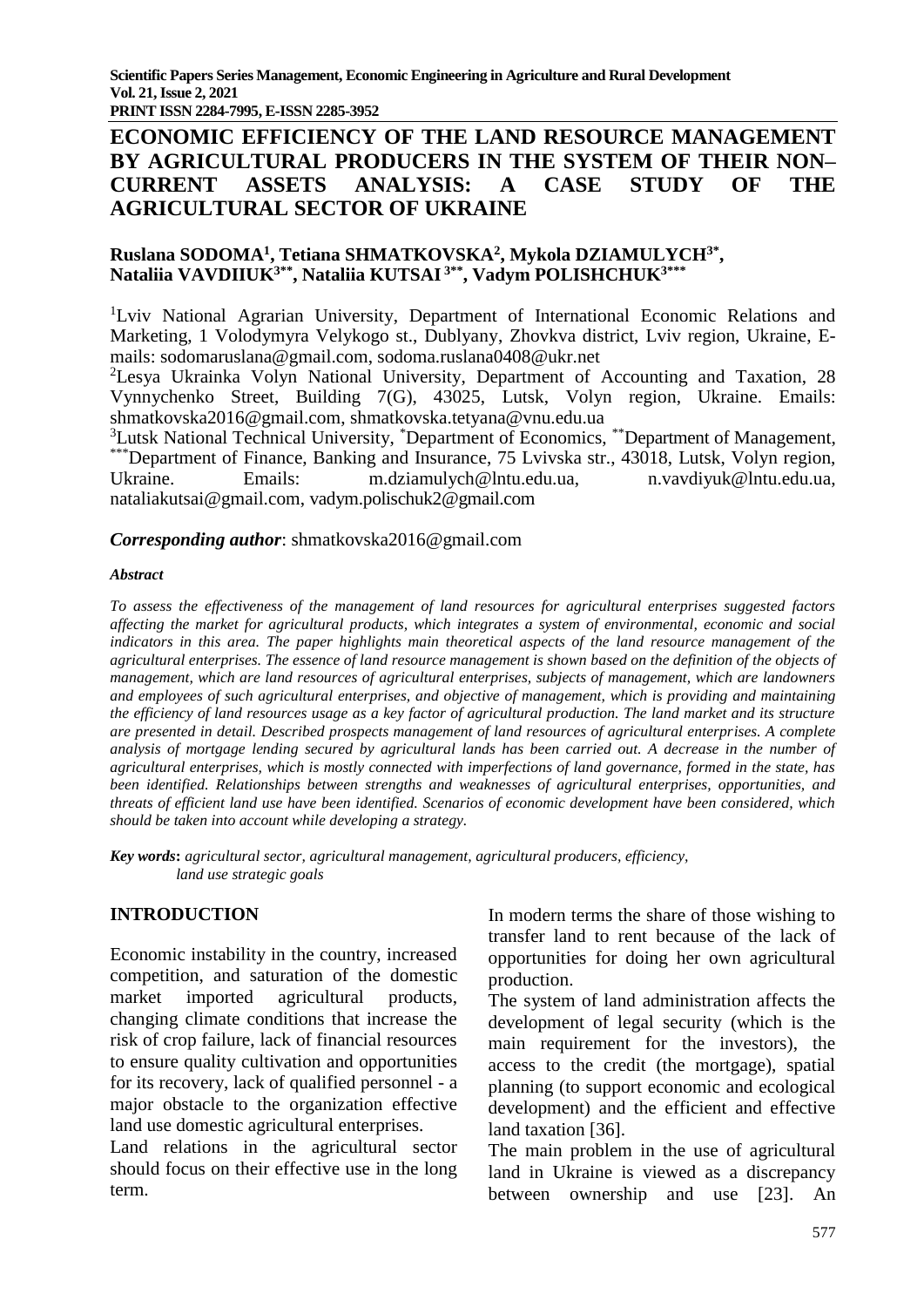**PRINT ISSN 2284-7995, E-ISSN 2285-3952** 

# **ECONOMIC EFFICIENCY OF THE LAND RESOURCE MANAGEMENT BY AGRICULTURAL PRODUCERS IN THE SYSTEM OF THEIR NON– CURRENT ASSETS ANALYSIS: A CASE STUDY OF THE AGRICULTURAL SECTOR OF UKRAINE**

## **Ruslana SODOMA<sup>1</sup> , Tetiana SHMATKOVSKA<sup>2</sup> , Mykola DZIAMULYCH3\* , Nataliia VAVDIIUK3\*\* , Nataliia KUTSAI 3\*\*, Vadym POLISHCHUK3\*\*\***

<sup>1</sup>Lviv National Agrarian University, Department of International Economic Relations and Marketing, 1 Volodymyra Velykogo st., Dublyany, Zhovkva district, Lviv region, Ukraine, Emails: [sodomaruslana@gmail.com,](mailto:sodomaruslana@gmail.com) [sodoma.ruslana0408@ukr.net](mailto:sodoma.ruslana0408@ukr.net)

<sup>2</sup>Lesya Ukrainka Volyn National University, Department of Accounting and Taxation, 28 Vynnychenko Street, Building 7(G), 43025, Lutsk, Volyn region, Ukraine. Emails: [shmatkovska2016@gmail.com,](mailto:shmatkovska2016@gmail.com) [shmatkovska.tetyana@vnu.edu.ua](mailto:shmatkovska.tetyana@vnu.edu.ua)

<sup>3</sup>Lutsk National Technical University, <sup>\*</sup>Department of Economics, <sup>\*\*</sup>Department of Management, \*\*\*Department of Finance, Banking and Insurance, 75 Lvivska str., 43018, Lutsk, Volyn region, Ukraine. Emails: m.dziamulych@lntu.edu.ua, n.vavdiyuk@lntu.edu.ua, nataliakutsai@gmail.com, [vadym.polischuk2@gmail.com](mailto:vadym.polischuk2@gmail.com)

### *Corresponding author*: [shmatkovska2016@gmail.com](mailto:shmatkovska2016@gmail.com)

### *Abstract*

*To assess the effectiveness of the management of land resources for agricultural enterprises suggested factors affecting the market for agricultural products, which integrates a system of environmental, economic and social indicators in this area. The paper highlights main theoretical aspects of the land resource management of the agricultural enterprises. The essence of land resource management is shown based on the definition of the objects of management, which are land resources of agricultural enterprises, subjects of management, which are landowners and employees of such agricultural enterprises, and objective of management, which is providing and maintaining the efficiency of land resources usage as a key factor of agricultural production. The land market and its structure are presented in detail. Described prospects management of land resources of agricultural enterprises. A complete analysis of mortgage lending secured by agricultural lands has been carried out. A decrease in the number of agricultural enterprises, which is mostly connected with imperfections of land governance, formed in the state, has been identified. Relationships between strengths and weaknesses of agricultural enterprises, opportunities, and threats of efficient land use have been identified. Scenarios of economic development have been considered, which should be taken into account while developing a strategy.* 

*Key words***:** *agricultural sector, agricultural management, agricultural producers, efficiency, land use strategic goals*

## **INTRODUCTION**

Economic instability in the country, increased competition, and saturation of the domestic market imported agricultural products, changing climate conditions that increase the risk of crop failure, lack of financial resources to ensure quality cultivation and opportunities for its recovery, lack of qualified personnel - a major obstacle to the organization effective land use domestic agricultural enterprises.

Land relations in the agricultural sector should focus on their effective use in the long term.

In modern terms the share of those wishing to transfer land to rent because of the lack of opportunities for doing her own agricultural production.

The system of land administration affects the development of legal security (which is the main requirement for the investors), the access to the credit (the mortgage), spatial planning (to support economic and ecological development) and the efficient and effective land taxation [36].

The main problem in the use of agricultural land in Ukraine is viewed as a discrepancy between ownership and use [23]. An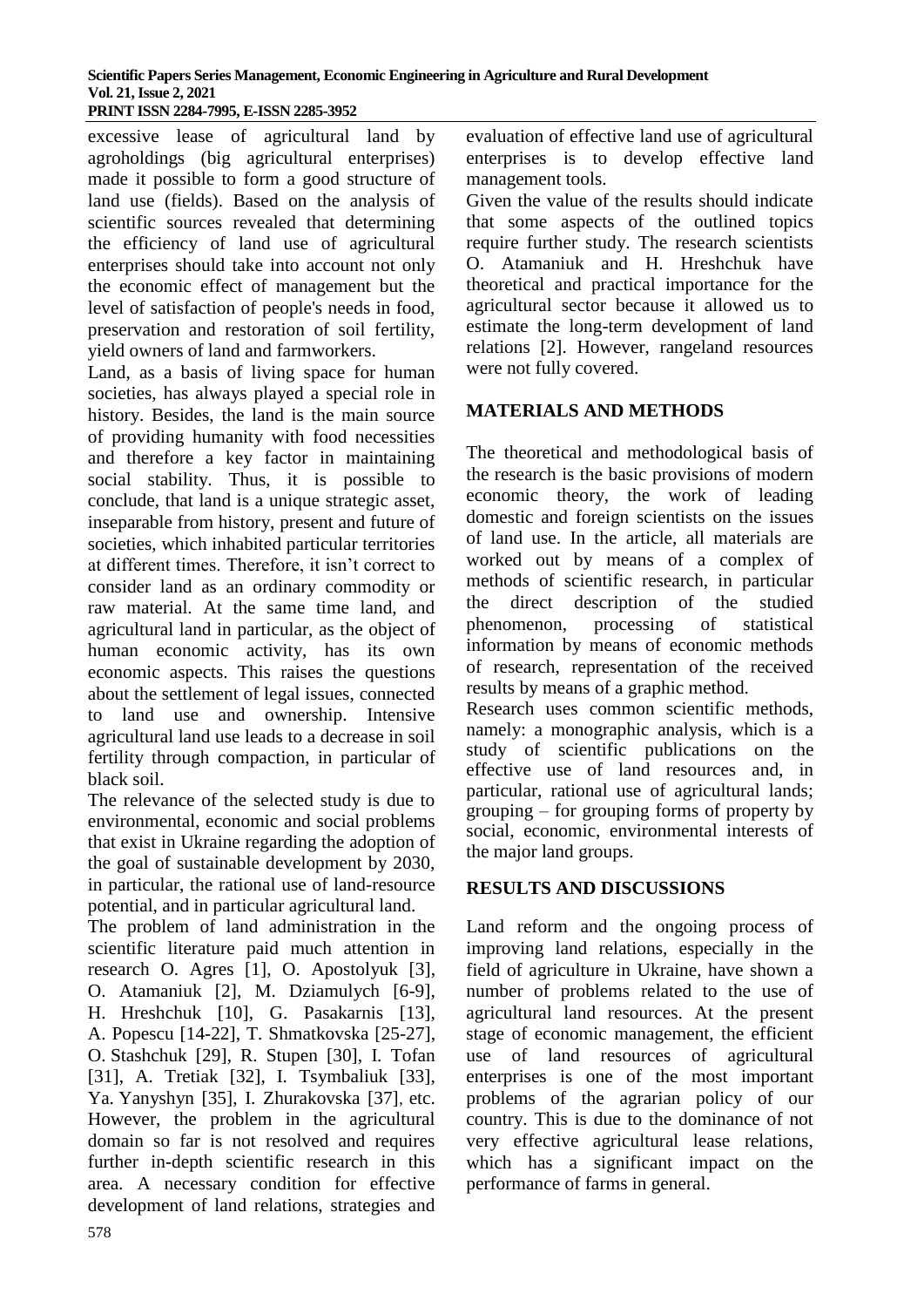excessive lease of agricultural land by agroholdings (big agricultural enterprises) made it possible to form a good structure of land use (fields). Based on the analysis of scientific sources revealed that determining the efficiency of land use of agricultural enterprises should take into account not only the economic effect of management but the level of satisfaction of people's needs in food, preservation and restoration of soil fertility, yield owners of land and farmworkers.

Land, as a basis of living space for human societies, has always played a special role in history. Besides, the land is the main source of providing humanity with food necessities and therefore a key factor in maintaining social stability. Thus, it is possible to conclude, that land is a unique strategic asset, inseparable from history, present and future of societies, which inhabited particular territories at different times. Therefore, it isn't correct to consider land as an ordinary commodity or raw material. At the same time land, and agricultural land in particular, as the object of human economic activity, has its own economic aspects. This raises the questions about the settlement of legal issues, connected to land use and ownership. Intensive agricultural land use leads to a decrease in soil fertility through compaction, in particular of black soil.

The relevance of the selected study is due to environmental, economic and social problems that exist in Ukraine regarding the adoption of the goal of sustainable development by 2030, in particular, the rational use of land-resource potential, and in particular agricultural land.

The problem of land administration in the scientific literature paid much attention in research O. Agres [1], O. Apostolyuk [3], O. Atamaniuk [2], M. Dziamulych [6-9], H. Hreshchuk [10], G. Pasakarnis [13], A. Popescu [14-22], T. Shmatkovska [25-27], O. Stashchuk [29], R. Stupen [30], I. Tofan [31], A. Tretiak [32], I. Tsymbaliuk [33], Ya. Yanyshyn [35], I. Zhurakovska [37], etc. However, the problem in the agricultural domain so far is not resolved and requires further in-depth scientific research in this area. A necessary condition for effective development of land relations, strategies and evaluation of effective land use of agricultural enterprises is to develop effective land management tools.

Given the value of the results should indicate that some aspects of the outlined topics require further study. The research scientists O. Atamaniuk and H. Hreshchuk have theoretical and practical importance for the agricultural sector because it allowed us to estimate the long-term development of land relations [2]. However, rangeland resources were not fully covered.

# **MATERIALS AND METHODS**

The theoretical and methodological basis of the research is the basic provisions of modern economic theory, the work of leading domestic and foreign scientists on the issues of land use. In the article, all materials are worked out by means of a complex of methods of scientific research, in particular the direct description of the studied phenomenon, processing of statistical information by means of economic methods of research, representation of the received results by means of a graphic method.

Research uses common scientific methods, namely: a monographic analysis, which is a study of scientific publications on the effective use of land resources and, in particular, rational use of agricultural lands; grouping – for grouping forms of property by social, economic, environmental interests of the major land groups.

# **RESULTS AND DISCUSSIONS**

Land reform and the ongoing process of improving land relations, especially in the field of agriculture in Ukraine, have shown a number of problems related to the use of agricultural land resources. At the present stage of economic management, the efficient use of land resources of agricultural enterprises is one of the most important problems of the agrarian policy of our country. This is due to the dominance of not very effective agricultural lease relations, which has a significant impact on the performance of farms in general.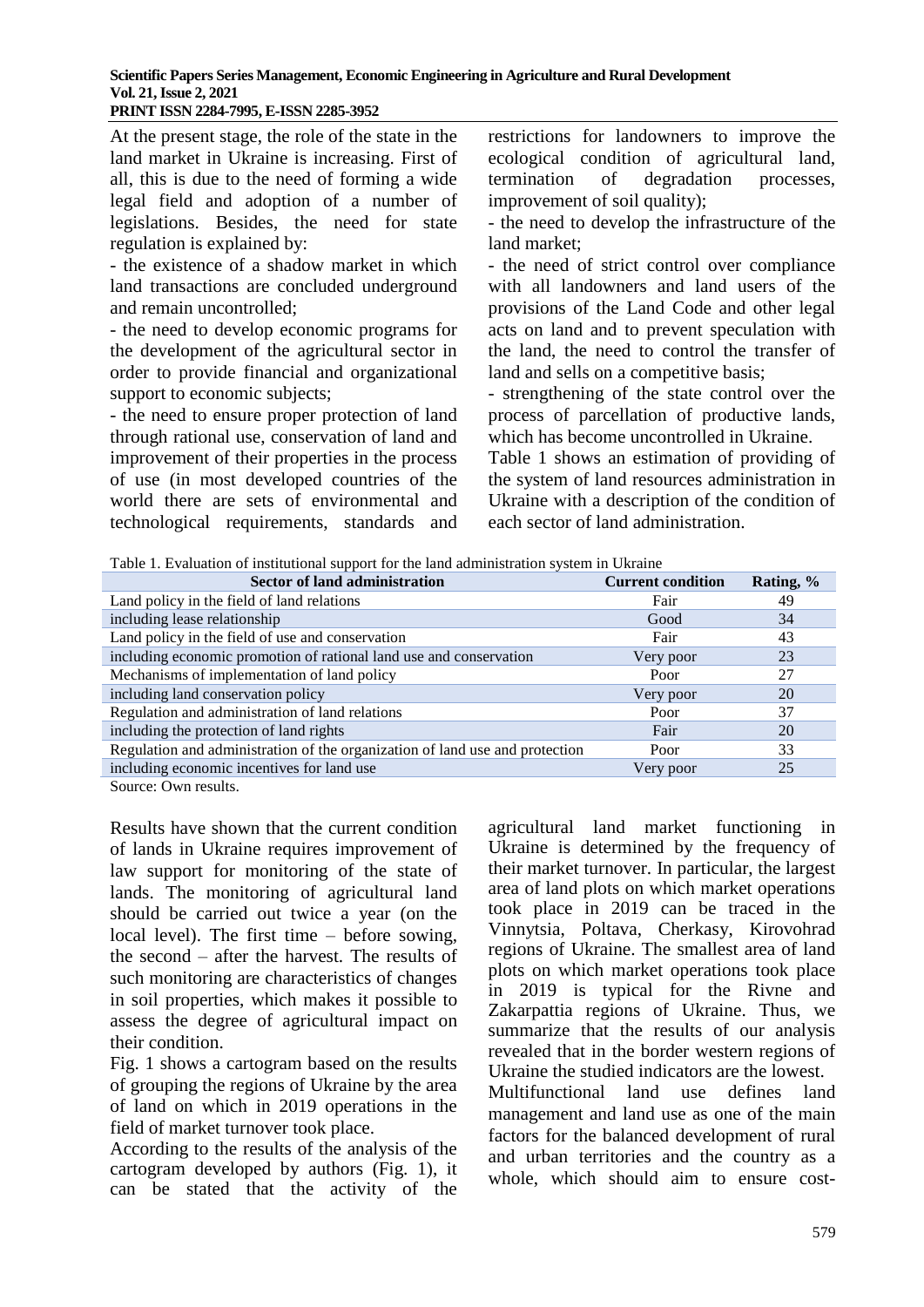# **Scientific Papers Series Management, Economic Engineering in Agriculture and Rural Development Vol. 21, Issue 2, 2021**

**PRINT ISSN 2284-7995, E-ISSN 2285-3952** 

At the present stage, the role of the state in the land market in Ukraine is increasing. First of all, this is due to the need of forming a wide legal field and adoption of a number of legislations. Besides, the need for state regulation is explained by:

- the existence of a shadow market in which land transactions are concluded underground and remain uncontrolled;

- the need to develop economic programs for the development of the agricultural sector in order to provide financial and organizational support to economic subjects;

- the need to ensure proper protection of land through rational use, conservation of land and improvement of their properties in the process of use (in most developed countries of the world there are sets of environmental and technological requirements, standards and restrictions for landowners to improve the ecological condition of agricultural land, termination of degradation processes, improvement of soil quality);

- the need to develop the infrastructure of the land market;

- the need of strict control over compliance with all landowners and land users of the provisions of the Land Code and other legal acts on land and to prevent speculation with the land, the need to control the transfer of land and sells on a competitive basis;

- strengthening of the state control over the process of parcellation of productive lands, which has become uncontrolled in Ukraine.

Table 1 shows an estimation of providing of the system of land resources administration in Ukraine with a description of the condition of each sector of land administration.

Table 1. Evaluation of institutional support for the land administration system in Ukraine

| <b>Sector of land administration</b>                                         | <b>Current condition</b> | Rating, % |
|------------------------------------------------------------------------------|--------------------------|-----------|
| Land policy in the field of land relations                                   | Fair                     | 49        |
| including lease relationship                                                 | Good                     | 34        |
| Land policy in the field of use and conservation                             | Fair                     | 43        |
| including economic promotion of rational land use and conservation           | Very poor                | 23        |
| Mechanisms of implementation of land policy                                  | Poor                     | 27        |
| including land conservation policy                                           | Very poor                | 20        |
| Regulation and administration of land relations                              | Poor                     | 37        |
| including the protection of land rights                                      | Fair                     | 20        |
| Regulation and administration of the organization of land use and protection | Poor                     | 33        |
| including economic incentives for land use                                   | Very poor                | 25        |

Source: Own results.

Results have shown that the current condition of lands in Ukraine requires improvement of law support for monitoring of the state of lands. The monitoring of agricultural land should be carried out twice a year (on the local level). The first time – before sowing, the second – after the harvest. The results of such monitoring are characteristics of changes in soil properties, which makes it possible to assess the degree of agricultural impact on their condition.

Fig. 1 shows a cartogram based on the results of grouping the regions of Ukraine by the area of land on which in 2019 operations in the field of market turnover took place.

According to the results of the analysis of the cartogram developed by authors (Fig. 1), it can be stated that the activity of the

agricultural land market functioning in Ukraine is determined by the frequency of their market turnover. In particular, the largest area of land plots on which market operations took place in 2019 can be traced in the Vinnytsia, Poltava, Cherkasy, Kirovohrad regions of Ukraine. The smallest area of land plots on which market operations took place in 2019 is typical for the Rivne and Zakarpattia regions of Ukraine. Thus, we summarize that the results of our analysis revealed that in the border western regions of Ukraine the studied indicators are the lowest. Multifunctional land use defines land management and land use as one of the main factors for the balanced development of rural and urban territories and the country as a whole, which should aim to ensure cost-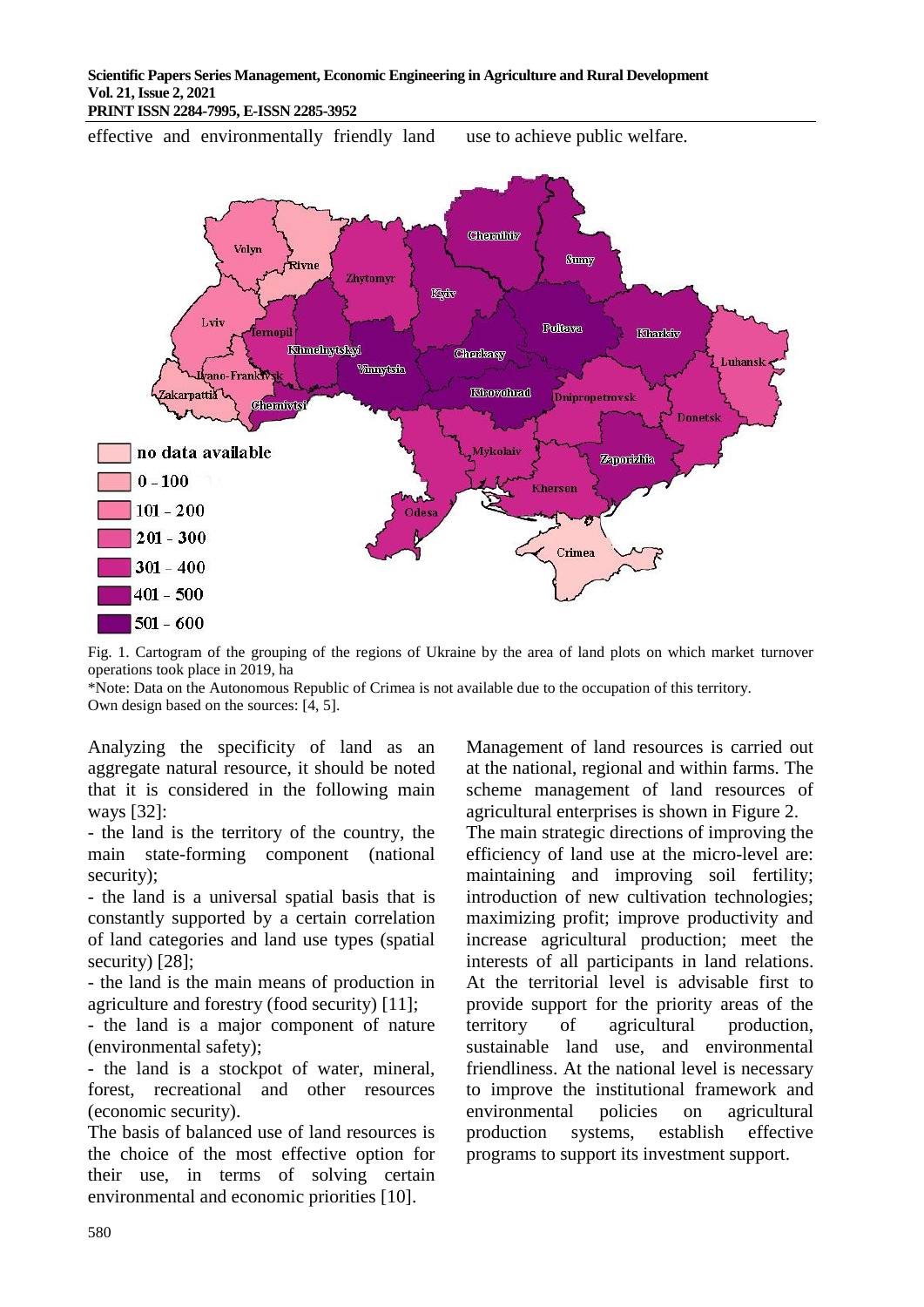## **Scientific Papers Series Management, Economic Engineering in Agriculture and Rural Development Vol. 21, Issue 2, 2021**

**PRINT ISSN 2284-7995, E-ISSN 2285-3952** 

effective and environmentally friendly land use to achieve public welfare.



Fig. 1. Cartogram of the grouping of the regions of Ukraine by the area of land plots on which market turnover operations took place in 2019, ha

\*Note: Data on the Autonomous Republic of Crimea is not available due to the occupation of this territory. Own design based on the sources: [4, 5].

Analyzing the specificity of land as an aggregate natural resource, it should be noted that it is considered in the following main ways [32]:

- the land is the territory of the country, the main state-forming component (national security);

- the land is a universal spatial basis that is constantly supported by a certain correlation of land categories and land use types (spatial security) [28];

- the land is the main means of production in agriculture and forestry (food security) [11];

- the land is a major component of nature (environmental safety);

- the land is a stockpot of water, mineral, forest, recreational and other resources (economic security).

The basis of balanced use of land resources is the choice of the most effective option for their use, in terms of solving certain environmental and economic priorities [10].

Management of land resources is carried out at the national, regional and within farms. The scheme management of land resources of agricultural enterprises is shown in Figure 2.

The main strategic directions of improving the efficiency of land use at the micro-level are: maintaining and improving soil fertility; introduction of new cultivation technologies; maximizing profit; improve productivity and increase agricultural production; meet the interests of all participants in land relations. At the territorial level is advisable first to provide support for the priority areas of the territory of agricultural production, sustainable land use, and environmental friendliness. At the national level is necessary to improve the institutional framework and environmental policies on agricultural production systems, establish effective programs to support its investment support.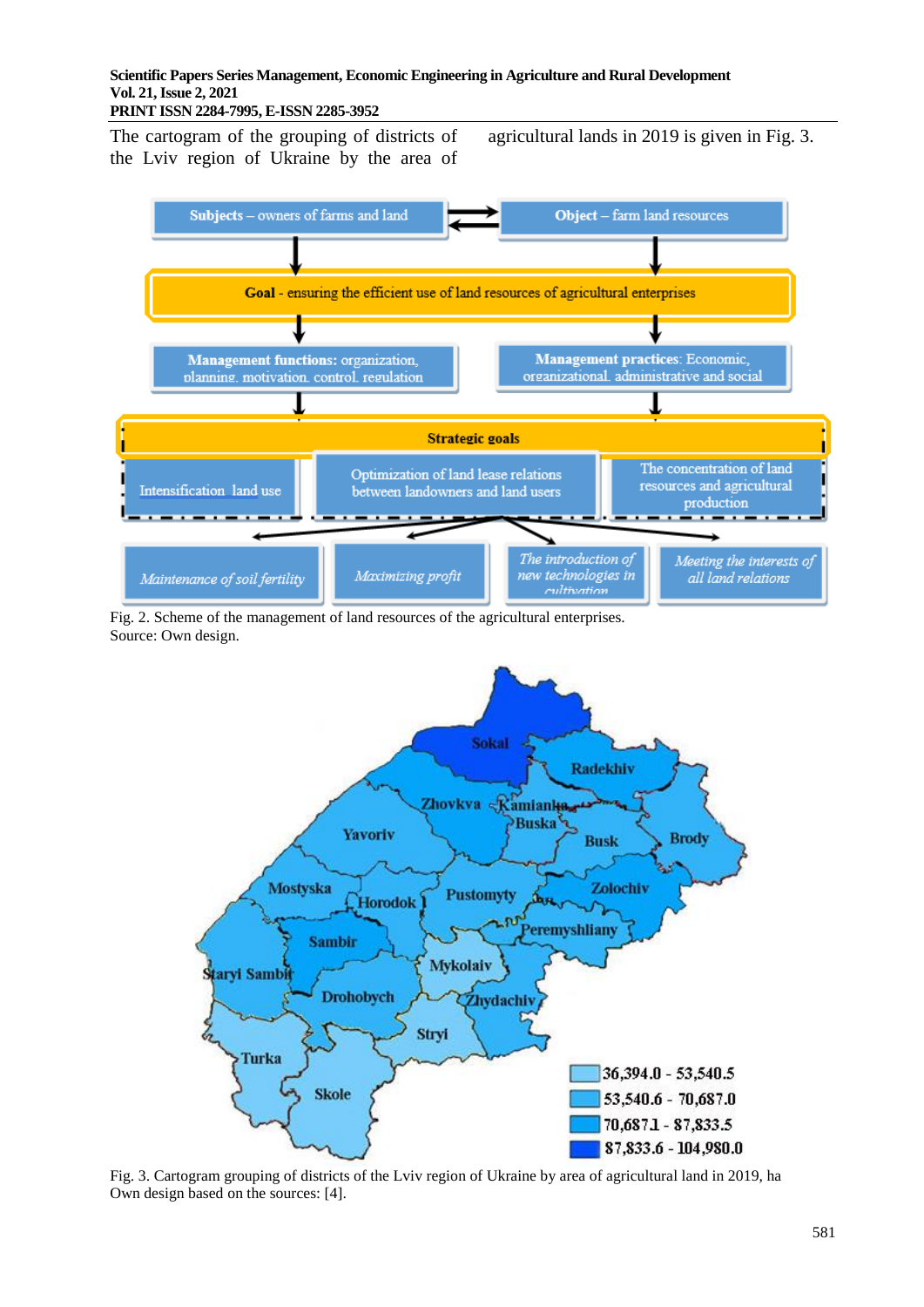**PRINT ISSN 2284-7995, E-ISSN 2285-3952** 

The cartogram of the grouping of districts of the Lviv region of Ukraine by the area of agricultural lands in 2019 is given in Fig. 3.



Fig. 2. Scheme of the management of land resources of the agricultural enterprises. Source: Own design.



Fig. 3. Cartogram grouping of districts of the Lviv region of Ukraine by area of agricultural land in 2019, ha Own design based on the sources: [4].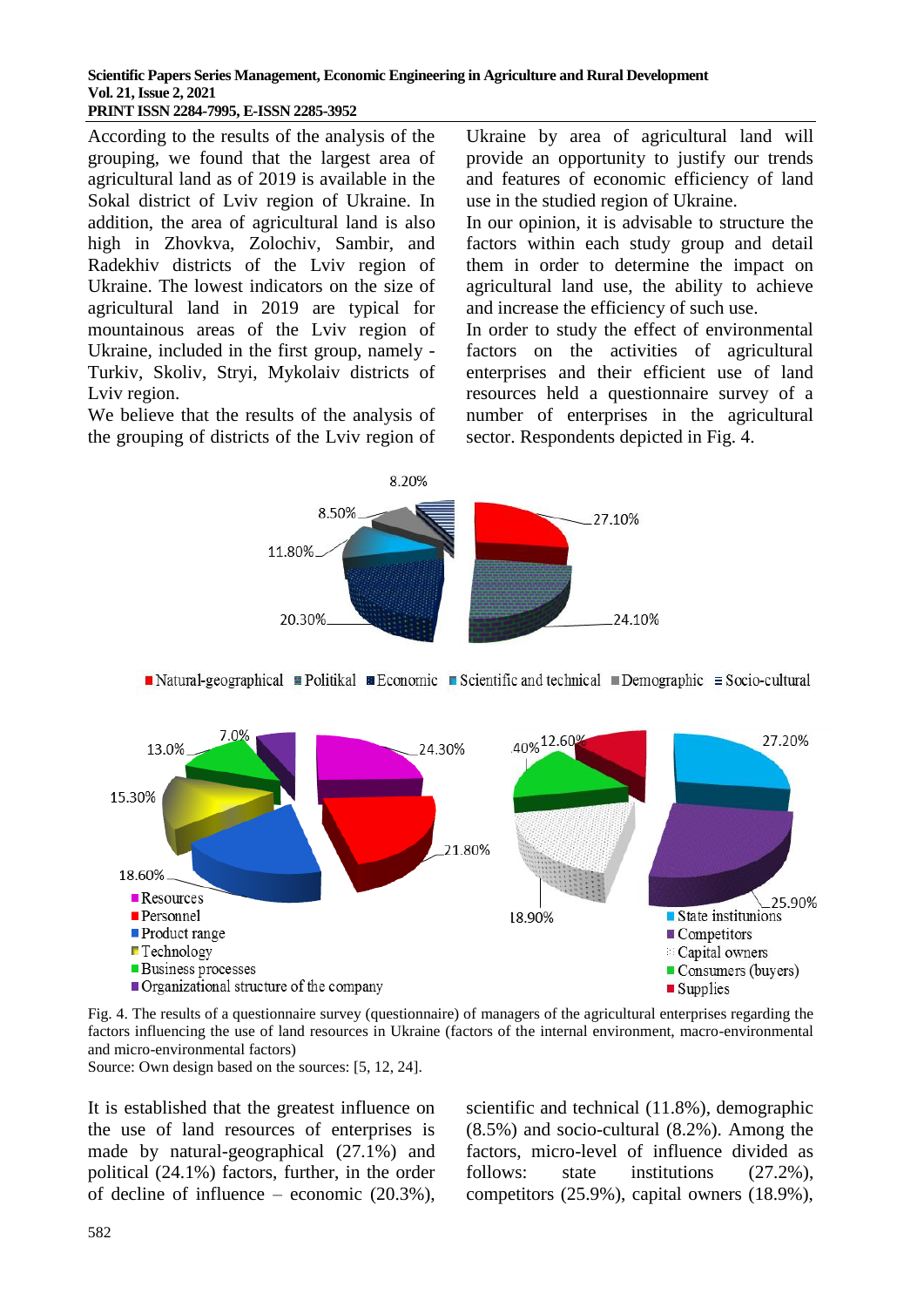### **Scientific Papers Series Management, Economic Engineering in Agriculture and Rural Development Vol. 21, Issue 2, 2021 PRINT ISSN 2284-7995, E-ISSN 2285-3952**

According to the results of the analysis of the grouping, we found that the largest area of agricultural land as of 2019 is available in the Sokal district of Lviv region of Ukraine. In addition, the area of agricultural land is also high in Zhovkva, Zolochiv, Sambir, and Radekhiv districts of the Lviv region of Ukraine. The lowest indicators on the size of agricultural land in 2019 are typical for mountainous areas of the Lviv region of Ukraine, included in the first group, namely - Turkiv, Skoliv, Stryi, Mykolaiv districts of Lviv region.

We believe that the results of the analysis of the grouping of districts of the Lviv region of

Ukraine by area of agricultural land will provide an opportunity to justify our trends and features of economic efficiency of land use in the studied region of Ukraine.

In our opinion, it is advisable to structure the factors within each study group and detail them in order to determine the impact on agricultural land use, the ability to achieve and increase the efficiency of such use.

In order to study the effect of environmental factors on the activities of agricultural enterprises and their efficient use of land resources held a questionnaire survey of a number of enterprises in the agricultural sector. Respondents depicted in Fig. 4.







Fig. 4. The results of a questionnaire survey (questionnaire) of managers of the agricultural enterprises regarding the factors influencing the use of land resources in Ukraine (factors of the internal environment, macro-environmental and micro-environmental factors)

Source: Own design based on the sources: [5, 12, 24].

It is established that the greatest influence on the use of land resources of enterprises is made by natural-geographical (27.1%) and political (24.1%) factors, further, in the order of decline of influence – economic (20.3%), scientific and technical (11.8%), demographic (8.5%) and socio-cultural (8.2%). Among the factors, micro-level of influence divided as follows: state institutions  $(27.2\%)$ , competitors (25.9%), capital owners (18.9%),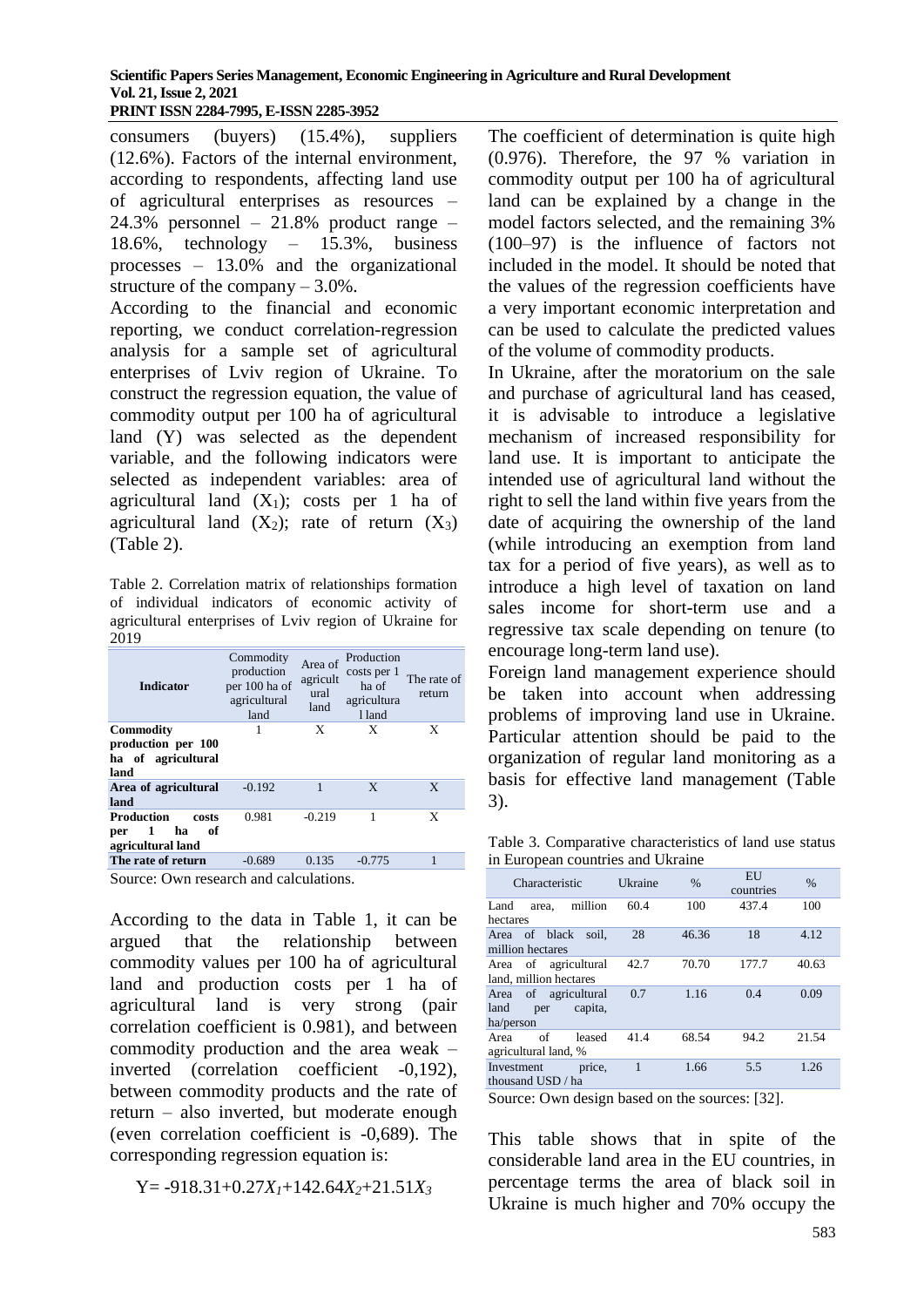### **Scientific Papers Series Management, Economic Engineering in Agriculture and Rural Development Vol. 21, Issue 2, 2021 PRINT ISSN 2284-7995, E-ISSN 2285-3952**

consumers (buyers) (15.4%), suppliers (12.6%). Factors of the internal environment, according to respondents, affecting land use of agricultural enterprises as resources – 24.3% personnel – 21.8% product range – 18.6%, technology – 15.3%, business processes – 13.0% and the organizational structure of the company – 3.0%.

According to the financial and economic reporting, we conduct correlation-regression analysis for a sample set of agricultural enterprises of Lviv region of Ukraine. To construct the regression equation, the value of commodity output per 100 ha of agricultural land (Y) was selected as the dependent variable, and the following indicators were selected as independent variables: area of agricultural land  $(X_1)$ ; costs per 1 ha of agricultural land  $(X_2)$ ; rate of return  $(X_3)$ (Table 2).

Table 2. Correlation matrix of relationships formation of individual indicators of economic activity of agricultural enterprises of Lviv region of Ukraine for 2019

| <b>Indicator</b>                                                        | Commodity<br>production<br>per 100 ha of<br>agricultural<br>land | Area of<br>agricult<br>ural<br>land | Production<br>costs per 1<br>ha of<br>agricultura<br>1 land | The rate of<br>return |
|-------------------------------------------------------------------------|------------------------------------------------------------------|-------------------------------------|-------------------------------------------------------------|-----------------------|
| <b>Commodity</b><br>production per 100<br>ha of agricultural<br>land    |                                                                  | X                                   | X                                                           | X                     |
| Area of agricultural<br>land                                            | $-0.192$                                                         | 1                                   | X                                                           | X                     |
| <b>Production</b><br>costs<br>1<br>ha<br>оf<br>per<br>agricultural land | 0.981                                                            | $-0.219$                            | 1                                                           | X                     |
| The rate of return                                                      | $-0.689$                                                         | 0.135                               | $-0.775$                                                    | 1                     |
| $\sim$ $\sim$                                                           | .                                                                |                                     |                                                             |                       |

Source: Own research and calculations.

According to the data in Table 1, it can be argued that the relationship between commodity values per 100 ha of agricultural land and production costs per 1 ha of agricultural land is very strong (pair correlation coefficient is 0.981), and between commodity production and the area weak – inverted (correlation coefficient -0,192), between commodity products and the rate of return – also inverted, but moderate enough (even correlation coefficient is -0,689). The corresponding regression equation is:

Y= -918.31+0.27*X1*+142.64*X2*+21.51*X<sup>3</sup>*

The coefficient of determination is quite high (0.976). Therefore, the 97 % variation in commodity output per 100 ha of agricultural land can be explained by a change in the model factors selected, and the remaining 3% (100–97) is the influence of factors not included in the model. It should be noted that the values of the regression coefficients have a very important economic interpretation and can be used to calculate the predicted values of the volume of commodity products.

In Ukraine, after the moratorium on the sale and purchase of agricultural land has ceased, it is advisable to introduce a legislative mechanism of increased responsibility for land use. It is important to anticipate the intended use of agricultural land without the right to sell the land within five years from the date of acquiring the ownership of the land (while introducing an exemption from land tax for a period of five years), as well as to introduce a high level of taxation on land sales income for short-term use and a regressive tax scale depending on tenure (to encourage long-term land use).

Foreign land management experience should be taken into account when addressing problems of improving land use in Ukraine. Particular attention should be paid to the organization of regular land monitoring as a basis for effective land management (Table 3).

Table 3. Comparative characteristics of land use status in European countries and Ukraine

| Ukraine | %     | EU<br>countries | %     |
|---------|-------|-----------------|-------|
| 60.4    | 100   | 437.4           | 100   |
| 28      | 46.36 | 18              | 4.12  |
| 42.7    | 70.70 | 177.7           | 40.63 |
| 0.7     | 1.16  | 0.4             | 0.09  |
| 41.4    | 68.54 | 94.2            | 21.54 |
| 1       | 1.66  | 5.5             | 1.26  |
|         |       |                 |       |

Source: Own design based on the sources: [32].

This table shows that in spite of the considerable land area in the EU countries, in percentage terms the area of black soil in Ukraine is much higher and 70% occupy the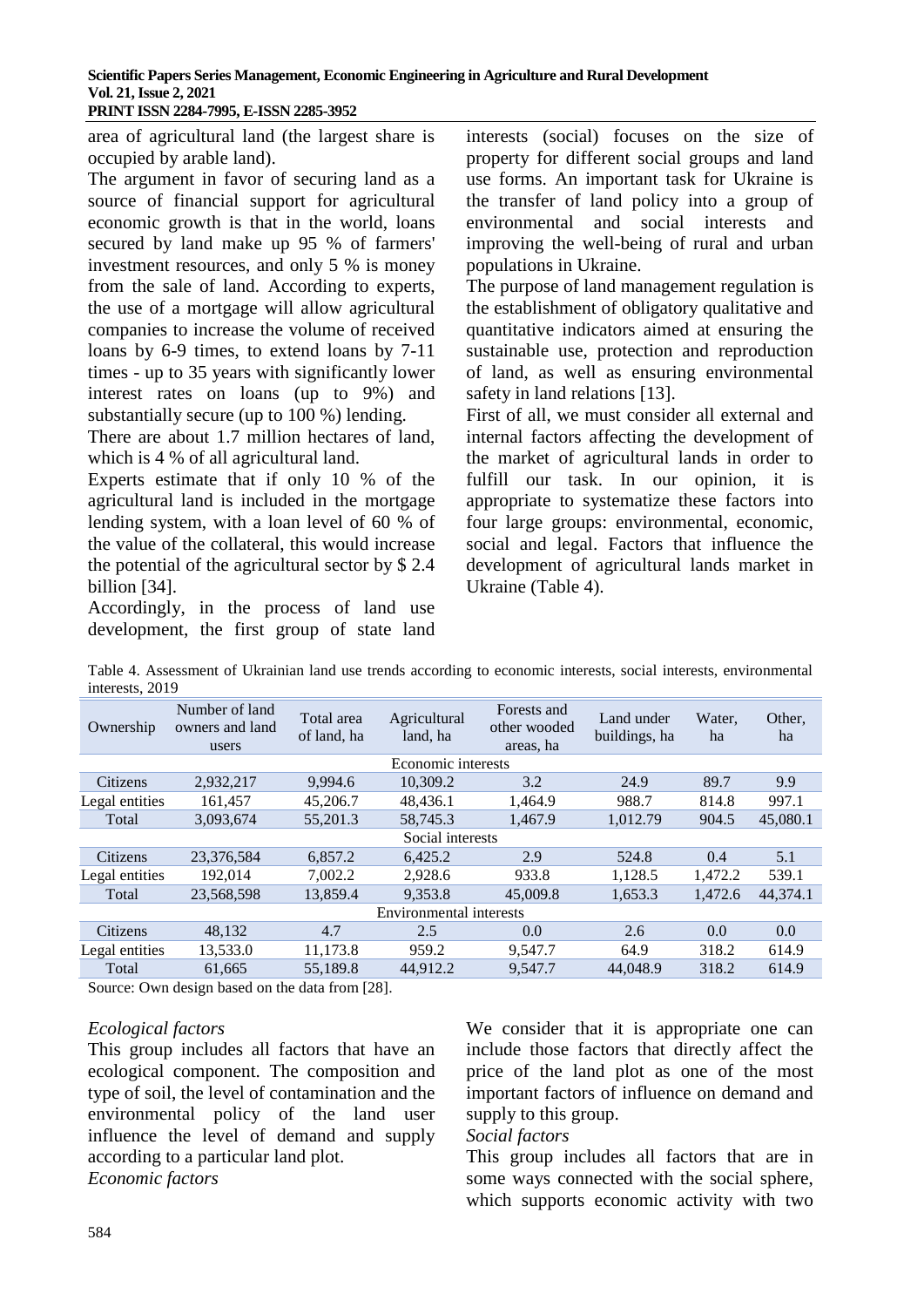area of agricultural land (the largest share is occupied by arable land).

The argument in favor of securing land as a source of financial support for agricultural economic growth is that in the world, loans secured by land make up 95 % of farmers' investment resources, and only 5 % is money from the sale of land. According to experts, the use of a mortgage will allow agricultural companies to increase the volume of received loans by 6-9 times, to extend loans by 7-11 times - up to 35 years with significantly lower interest rates on loans (up to 9%) and substantially secure (up to 100 %) lending.

There are about 1.7 million hectares of land, which is 4 % of all agricultural land.

Experts estimate that if only 10 % of the agricultural land is included in the mortgage lending system, with a loan level of 60 % of the value of the collateral, this would increase the potential of the agricultural sector by \$ 2.4 billion [34].

Accordingly, in the process of land use development, the first group of state land interests (social) focuses on the size of property for different social groups and land use forms. An important task for Ukraine is the transfer of land policy into a group of environmental and social interests and improving the well-being of rural and urban populations in Ukraine.

The purpose of land management regulation is the establishment of obligatory qualitative and quantitative indicators aimed at ensuring the sustainable use, protection and reproduction of land, as well as ensuring environmental safety in land relations [13].

First of all, we must consider all external and internal factors affecting the development of the market of agricultural lands in order to fulfill our task. In our opinion, it is appropriate to systematize these factors into four large groups: environmental, economic, social and legal. Factors that influence the development of agricultural lands market in Ukraine (Table 4).

Table 4. Assessment of Ukrainian land use trends according to economic interests, social interests, environmental interests, 2019

| Ownership               | Number of land<br>owners and land<br>users | Total area<br>of land, ha | Agricultural<br>land, ha | Forests and<br>other wooded<br>areas, ha | Land under<br>buildings, ha | Water.<br>ha | Other,<br>ha |
|-------------------------|--------------------------------------------|---------------------------|--------------------------|------------------------------------------|-----------------------------|--------------|--------------|
|                         |                                            |                           | Economic interests       |                                          |                             |              |              |
| Citizens                | 2,932,217                                  | 9,994.6                   | 10,309.2                 | 3.2                                      | 24.9                        | 89.7         | 9.9          |
| Legal entities          | 161.457                                    | 45,206.7                  | 48.436.1                 | 1.464.9                                  | 988.7                       | 814.8        | 997.1        |
| Total                   | 3,093,674                                  | 55,201.3                  | 58,745.3                 | 1,467.9                                  | 1,012.79                    | 904.5        | 45,080.1     |
|                         |                                            |                           | Social interests         |                                          |                             |              |              |
| Citizens                | 23,376,584                                 | 6,857.2                   | 6.425.2                  | 2.9                                      | 524.8                       | 0.4          | 5.1          |
| Legal entities          | 192,014                                    | 7,002.2                   | 2,928.6                  | 933.8                                    | 1,128.5                     | 1,472.2      | 539.1        |
| Total                   | 23,568,598                                 | 13,859.4                  | 9.353.8                  | 45,009.8                                 | 1,653.3                     | 1,472.6      | 44,374.1     |
| Environmental interests |                                            |                           |                          |                                          |                             |              |              |
| Citizens                | 48.132                                     | 4.7                       | 2.5                      | 0.0                                      | 2.6                         | 0.0          | 0.0          |
| Legal entities          | 13,533.0                                   | 11,173.8                  | 959.2                    | 9,547.7                                  | 64.9                        | 318.2        | 614.9        |
| Total                   | 61,665                                     | 55,189.8                  | 44.912.2                 | 9.547.7                                  | 44,048.9                    | 318.2        | 614.9        |
|                         |                                            |                           |                          |                                          |                             |              |              |

Source: Own design based on the data from [28].

## *Ecological factors*

This group includes all factors that have an ecological component. The composition and type of soil, the level of contamination and the environmental policy of the land user influence the level of demand and supply according to a particular land plot. *Economic factors*

We consider that it is appropriate one can include those factors that directly affect the price of the land plot as one of the most important factors of influence on demand and supply to this group.

## *Social factors*

This group includes all factors that are in some ways connected with the social sphere, which supports economic activity with two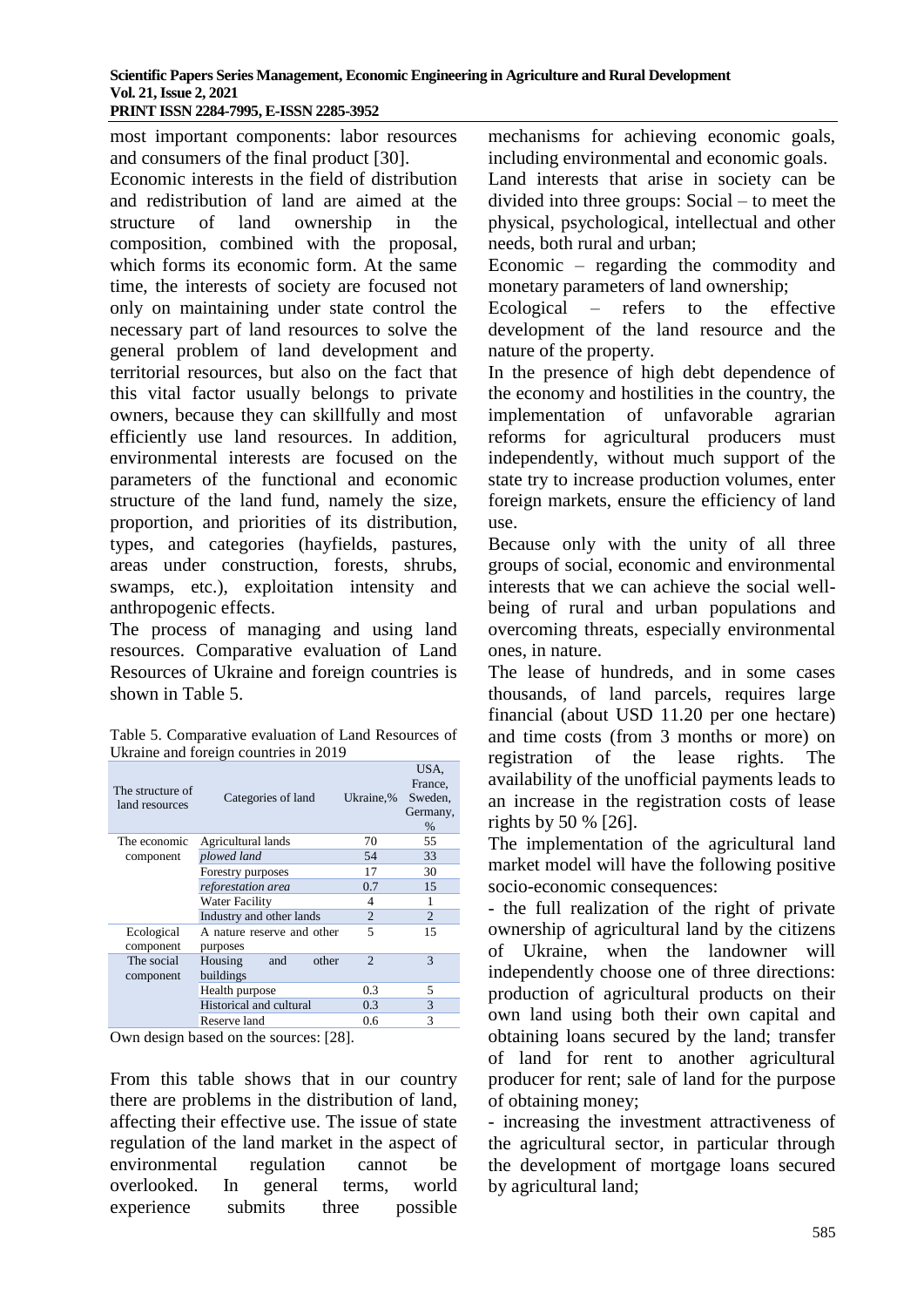most important components: labor resources and consumers of the final product [30].

Economic interests in the field of distribution and redistribution of land are aimed at the structure of land ownership in the composition, combined with the proposal, which forms its economic form. At the same time, the interests of society are focused not only on maintaining under state control the necessary part of land resources to solve the general problem of land development and territorial resources, but also on the fact that this vital factor usually belongs to private owners, because they can skillfully and most efficiently use land resources. In addition, environmental interests are focused on the parameters of the functional and economic structure of the land fund, namely the size, proportion, and priorities of its distribution, types, and categories (hayfields, pastures, areas under construction, forests, shrubs, swamps, etc.), exploitation intensity and anthropogenic effects.

The process of managing and using land resources. Comparative evaluation of Land Resources of Ukraine and foreign countries is shown in Table 5.

Table 5. Comparative evaluation of Land Resources of Ukraine and foreign countries in 2019

| The structure of<br>land resources | Categories of land         | Ukraine,%      | USA,<br>France.<br>Sweden,<br>Germany,<br>$\%$ |
|------------------------------------|----------------------------|----------------|------------------------------------------------|
| The economic                       | Agricultural lands         | 70             | 55                                             |
| component                          | plowed land                | 54             | 33                                             |
|                                    | Forestry purposes          | 17             | 30                                             |
|                                    | reforestation area         | 0.7            | 15                                             |
|                                    | Water Facility             | 4              | 1                                              |
|                                    | Industry and other lands   | 2              | $\overline{2}$                                 |
| Ecological                         | A nature reserve and other | 5              | 15                                             |
| component                          | purposes                   |                |                                                |
| The social                         | Housing<br>other<br>and    | $\mathfrak{D}$ | 3                                              |
| component                          | buildings                  |                |                                                |
|                                    | Health purpose             | 0.3            | 5                                              |
|                                    | Historical and cultural    | 0.3            | 3                                              |
|                                    | Reserve land               | 0.6            | 3                                              |

Own design based on the sources: [28].

From this table shows that in our country there are problems in the distribution of land, affecting their effective use. The issue of state regulation of the land market in the aspect of environmental regulation cannot be overlooked. In general terms, world experience submits three possible mechanisms for achieving economic goals, including environmental and economic goals.

Land interests that arise in society can be divided into three groups: Social – to meet the physical, psychological, intellectual and other needs, both rural and urban;

Economic – regarding the commodity and monetary parameters of land ownership;

Ecological – refers to the effective development of the land resource and the nature of the property.

In the presence of high debt dependence of the economy and hostilities in the country, the implementation of unfavorable agrarian reforms for agricultural producers must independently, without much support of the state try to increase production volumes, enter foreign markets, ensure the efficiency of land use.

Because only with the unity of all three groups of social, economic and environmental interests that we can achieve the social wellbeing of rural and urban populations and overcoming threats, especially environmental ones, in nature.

The lease of hundreds, and in some cases thousands, of land parcels, requires large financial (about USD 11.20 per one hectare) and time costs (from 3 months or more) on registration of the lease rights. The availability of the unofficial payments leads to an increase in the registration costs of lease rights by 50 % [26].

The implementation of the agricultural land market model will have the following positive socio-economic consequences:

- the full realization of the right of private ownership of agricultural land by the citizens of Ukraine, when the landowner will independently choose one of three directions: production of agricultural products on their own land using both their own capital and obtaining loans secured by the land; transfer of land for rent to another agricultural producer for rent; sale of land for the purpose of obtaining money;

- increasing the investment attractiveness of the agricultural sector, in particular through the development of mortgage loans secured by agricultural land;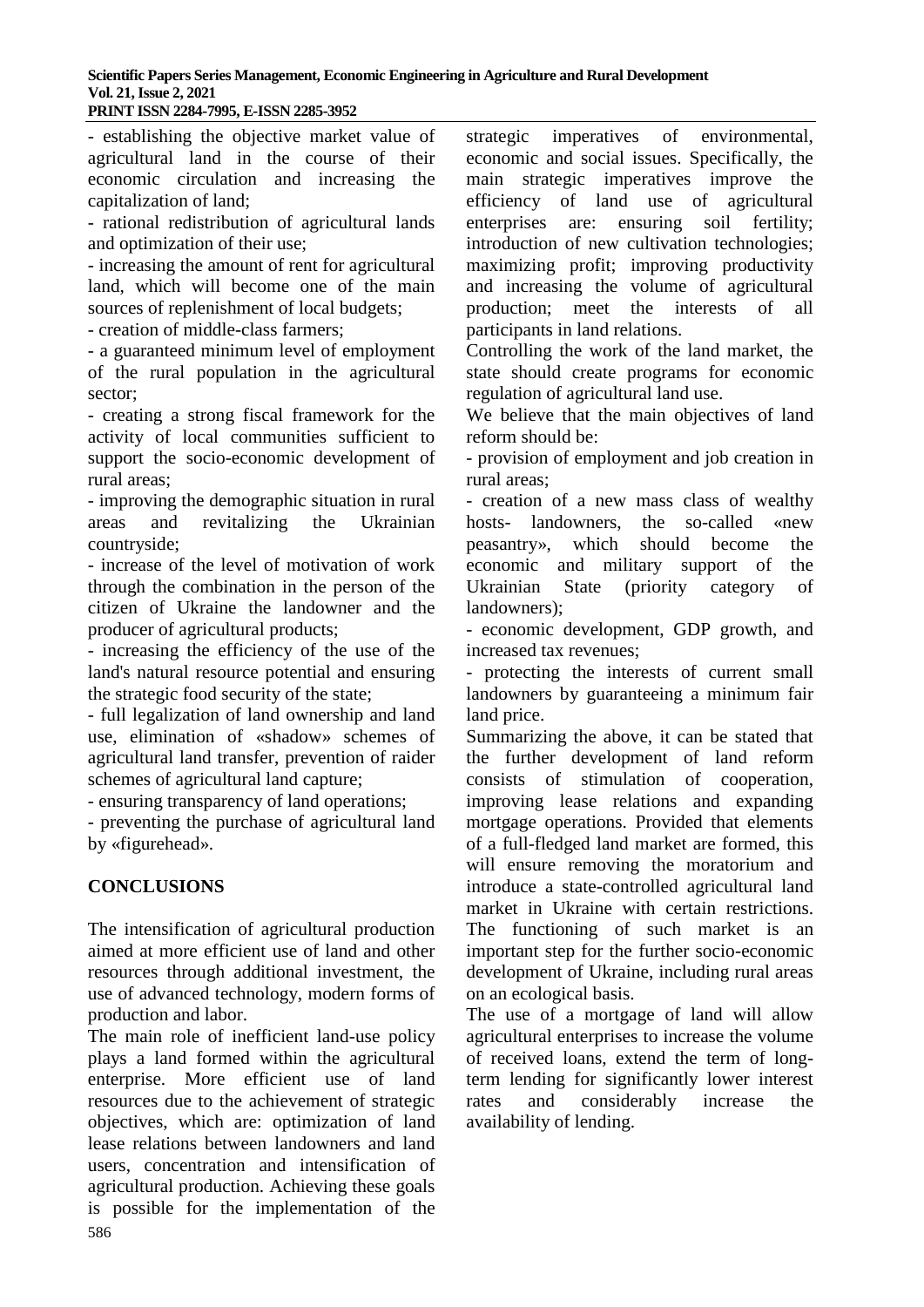- establishing the objective market value of agricultural land in the course of their economic circulation and increasing the capitalization of land;

- rational redistribution of agricultural lands and optimization of their use;

- increasing the amount of rent for agricultural land, which will become one of the main sources of replenishment of local budgets;

- creation of middle-class farmers;

- a guaranteed minimum level of employment of the rural population in the agricultural sector;

- creating a strong fiscal framework for the activity of local communities sufficient to support the socio-economic development of rural areas;

- improving the demographic situation in rural areas and revitalizing the Ukrainian countryside;

- increase of the level of motivation of work through the combination in the person of the citizen of Ukraine the landowner and the producer of agricultural products;

- increasing the efficiency of the use of the land's natural resource potential and ensuring the strategic food security of the state;

- full legalization of land ownership and land use, elimination of «shadow» schemes of agricultural land transfer, prevention of raider schemes of agricultural land capture;

- ensuring transparency of land operations;

- preventing the purchase of agricultural land by «figurehead».

# **CONCLUSIONS**

The intensification of agricultural production aimed at more efficient use of land and other resources through additional investment, the use of advanced technology, modern forms of production and labor.

586 The main role of inefficient land-use policy plays a land formed within the agricultural enterprise. More efficient use of land resources due to the achievement of strategic objectives, which are: optimization of land lease relations between landowners and land users, concentration and intensification of agricultural production. Achieving these goals is possible for the implementation of the strategic imperatives of environmental, economic and social issues. Specifically, the main strategic imperatives improve the efficiency of land use of agricultural enterprises are: ensuring soil fertility; introduction of new cultivation technologies; maximizing profit; improving productivity and increasing the volume of agricultural production; meet the interests of all participants in land relations.

Controlling the work of the land market, the state should create programs for economic regulation of agricultural land use.

We believe that the main objectives of land reform should be:

- provision of employment and job creation in rural areas;

- creation of a new mass class of wealthy hosts- landowners, the so-called «new peasantry», which should become the economic and military support of the Ukrainian State (priority category of landowners);

- economic development, GDP growth, and increased tax revenues;

- protecting the interests of current small landowners by guaranteeing a minimum fair land price.

Summarizing the above, it can be stated that the further development of land reform consists of stimulation of cooperation, improving lease relations and expanding mortgage operations. Provided that elements of a full-fledged land market are formed, this will ensure removing the moratorium and introduce a state-controlled agricultural land market in Ukraine with certain restrictions. The functioning of such market is an important step for the further socio-economic development of Ukraine, including rural areas on an ecological basis.

The use of a mortgage of land will allow agricultural enterprises to increase the volume of received loans, extend the term of longterm lending for significantly lower interest rates and considerably increase the availability of lending.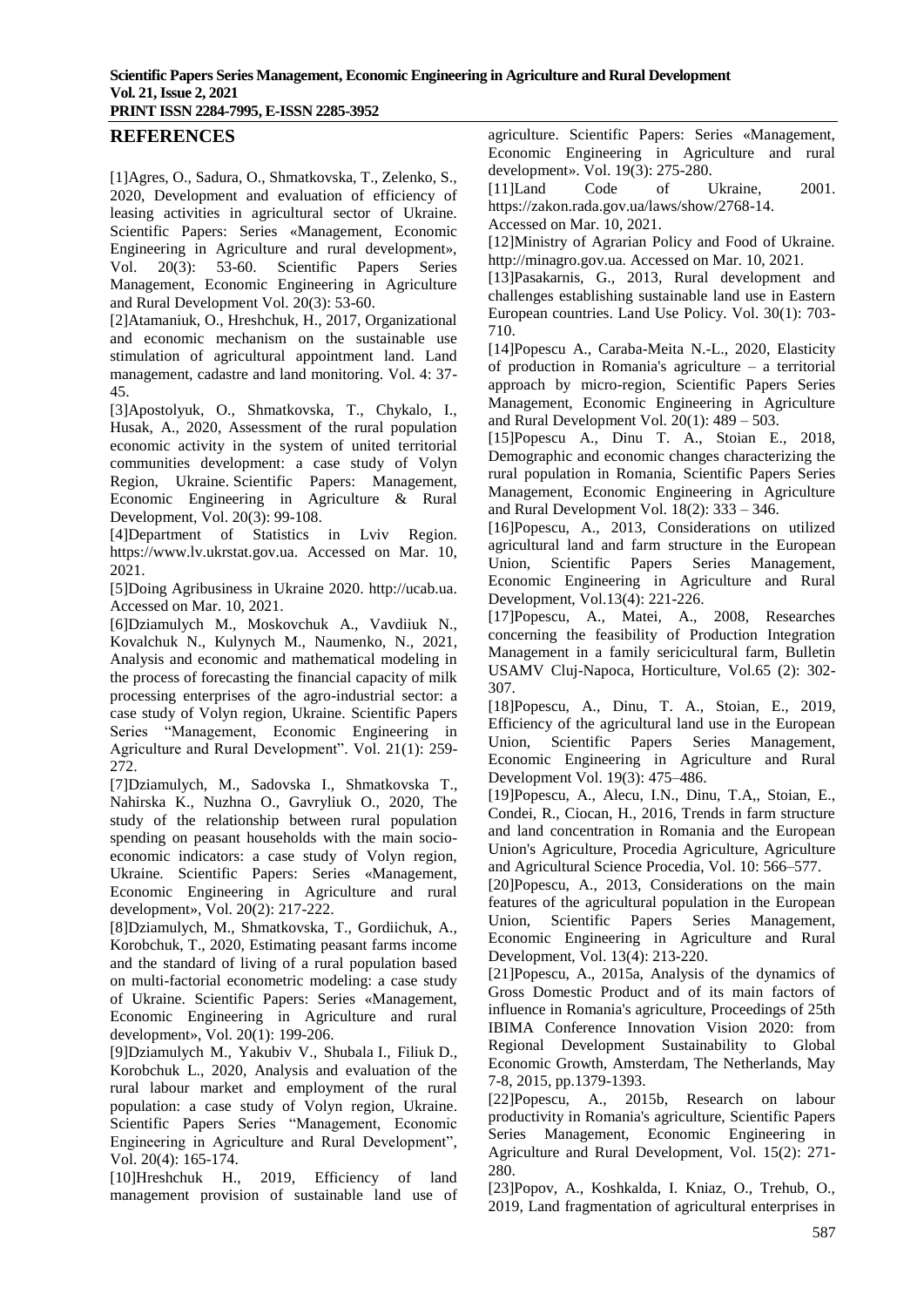## **REFERENCES**

[1]Agres, O., Sadura, O., Shmatkovska, T., Zelenko, S., 2020, Development and evaluation of efficiency of leasing activities in agricultural sector of Ukraine. Scientific Papers: Series «Management, Economic Engineering in Agriculture and rural development», Vol. 20(3): 53-60. Scientific Papers Series Management, Economic Engineering in Agriculture and Rural Development Vol. 20(3): 53-60.

[2]Atamaniuk, O., Hreshchuk, H., 2017, Organizational and economic mechanism on the sustainable use stimulation of agricultural appointment land. Land management, cadastre and land monitoring. Vol. 4: 37- 45.

[3]Apostolyuk, O., Shmatkovska, T., Chykalo, I., Husak, A., 2020, Assessment of the rural population economic activity in the system of united territorial communities development: a case study of Volyn Region, Ukraine. Scientific Papers: Management, Economic Engineering in Agriculture & Rural Development, Vol. 20(3): 99-108.

[4]Department of Statistics in Lviv Region. https://www.lv.ukrstat.gov.ua. Accessed on Mar. 10, 2021.

[5]Doing Agribusiness in Ukraine 2020. [http://ucab.ua.](http://ucab.ua/)  Accessed on Mar. 10, 2021.

[6]Dziamulych M., Moskovchuk A., Vavdiiuk N., Kovalchuk N., Kulynych M., Naumenko, N., 2021, Analysis and economic and mathematical modeling in the process of forecasting the financial capacity of milk processing enterprises of the agro-industrial sector: a case study of Volyn region, Ukraine. Scientific Papers Series "Management, Economic Engineering in Agriculture and Rural Development". Vol. 21(1): 259- 272.

[7]Dziamulych, M., Sadovska I., Shmatkovska T., Nahirska K., Nuzhna O., Gavryliuk O., 2020, The study of the relationship between rural population spending on peasant households with the main socioeconomic indicators: a case study of Volyn region, Ukraine. Scientific Papers: Series «Management, Economic Engineering in Agriculture and rural development», Vol. 20(2): 217-222.

[8]Dziamulych, M., Shmatkovska, T., Gordiichuk, A., Korobchuk, T., 2020, Estimating peasant farms income and the standard of living of a rural population based on multi-factorial econometric modeling: a case study of Ukraine. Scientific Papers: Series «Management, Economic Engineering in Agriculture and rural development», Vol. 20(1): 199-206.

[9]Dziamulych M., Yakubiv V., Shubala I., Filiuk D., Korobchuk L., 2020, Analysis and evaluation of the rural labour market and employment of the rural population: a case study of Volyn region, Ukraine. Scientific Papers Series "Management, Economic Engineering in Agriculture and Rural Development", Vol. 20(4): 165-174.

[10]Hreshchuk H., 2019, Efficiency of land management provision of sustainable land use of agriculture. Scientific Papers: Series «Management, Economic Engineering in Agriculture and rural development». Vol. 19(3): 275-280.

[11]Land Code of Ukraine, 2001. https://zakon.rada.gov.ua/laws/show/2768-14.

Accessed on Mar. 10, 2021.

[12]Ministry of Agrarian Policy and Food of Ukraine. http://minagro.gov.ua. Accessed on Mar. 10, 2021.

[13]Pasakarnis, G., 2013, Rural development and challenges establishing sustainable land use in Eastern European countries. Land Use Policy. Vol. 30(1): 703- 710.

[14]Popescu A., Caraba-Meita N.-L., 2020, Elasticity of production in Romania's agriculture – a territorial approach by micro-region, Scientific Papers Series Management, Economic Engineering in Agriculture and Rural Development Vol.  $20(1)$ :  $489 - 503$ .

[15]Popescu A., Dinu T. A., Stoian E., 2018, Demographic and economic changes characterizing the rural population in Romania, Scientific Papers Series Management, Economic Engineering in Agriculture and Rural Development Vol. 18(2): 333 – 346.

[16]Popescu, A., 2013, Considerations on utilized agricultural land and farm structure in the European Union, Scientific Papers Series Management, Economic Engineering in Agriculture and Rural Development, Vol.13(4): 221-226.

[17]Popescu, A., Matei, A., 2008, Researches concerning the feasibility of Production Integration Management in a family sericicultural farm, Bulletin USAMV Cluj-Napoca, Horticulture, Vol.65 (2): 302- 307.

[18]Popescu, A., Dinu, T. A., Stoian, E., 2019, Efficiency of the agricultural land use in the European Union, Scientific Papers Series Management, Economic Engineering in Agriculture and Rural Development Vol. 19(3): 475–486.

[19]Popescu, A., Alecu, I.N., Dinu, T.A,, Stoian, E., Condei, R., Ciocan, H., 2016, Trends in farm structure and land concentration in Romania and the European Union's Agriculture, Procedia Agriculture, Agriculture and Agricultural Science Procedia, Vol. 10: 566–577.

[20]Popescu, A., 2013, Considerations on the main features of the agricultural population in the European Union, Scientific Papers Series Management, Economic Engineering in Agriculture and Rural Development, Vol. 13(4): 213-220.

[21]Popescu, A., 2015a, Analysis of the dynamics of Gross Domestic Product and of its main factors of influence in Romania's agriculture, Proceedings of 25th IBIMA Conference Innovation Vision 2020: from Regional Development Sustainability to Global Economic Growth, Amsterdam, The Netherlands, May 7-8, 2015, pp.1379-1393.

[22]Popescu, A., 2015b, Research on labour productivity in Romania's agriculture, Scientific Papers Series Management, Economic Engineering in Agriculture and Rural Development, Vol. 15(2): 271- 280.

[23]Popov, A., Koshkalda, I. Kniaz, O., Trehub, O., 2019, Land fragmentation of agricultural enterprises in